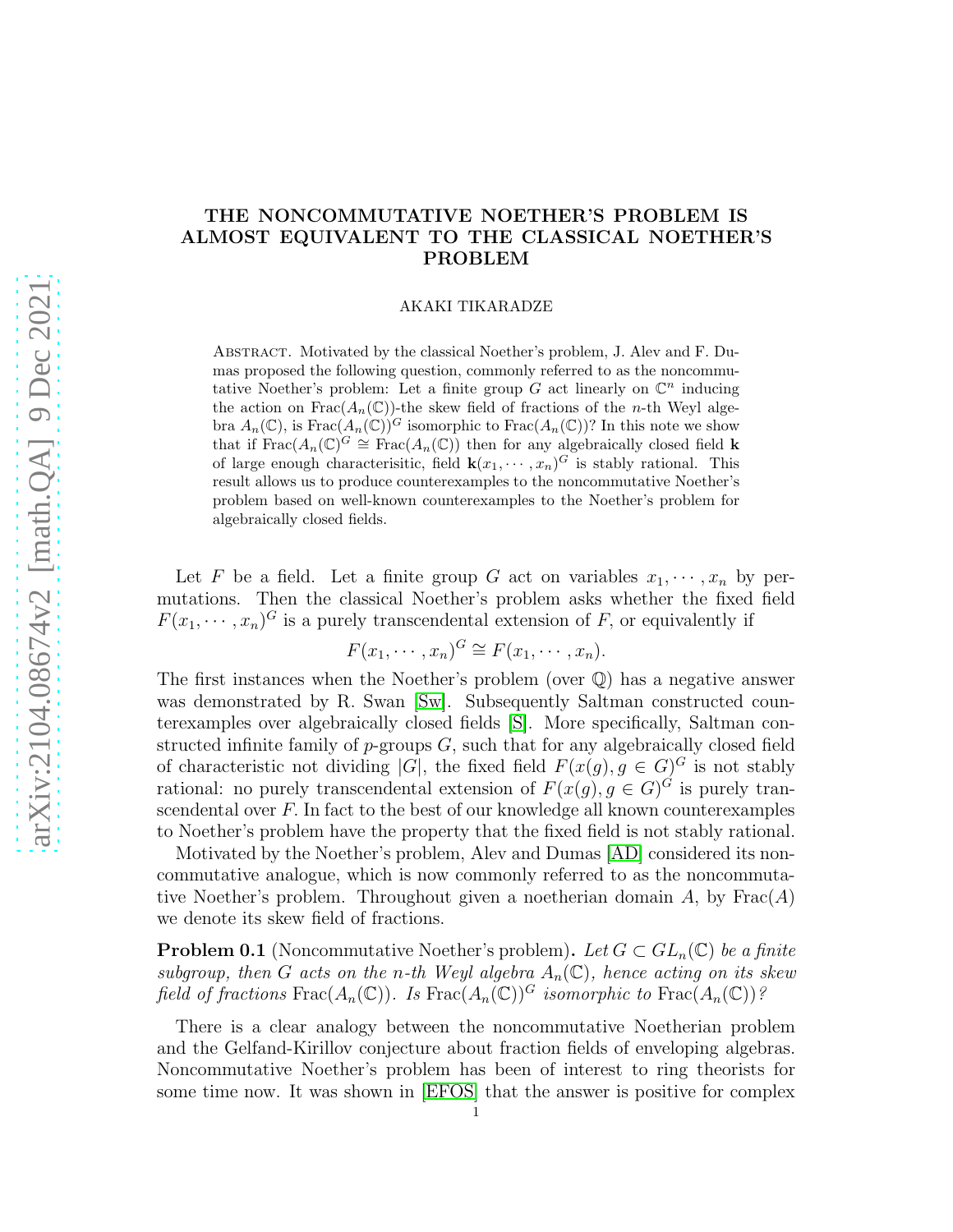## THE NONCOMMUTATIVE NOETHER'S PROBLEM IS ALMOST EQUIVALENT TO THE CLASSICAL NOETHER'S PROBLEM

AKAKI TIKARADZE

Abstract. Motivated by the classical Noether's problem, J. Alev and F. Dumas proposed the following question, commonly referred to as the noncommutative Noether's problem: Let a finite group  $G$  act linearly on  $\mathbb{C}^n$  inducing the action on  $\text{Frac}(A_n(\mathbb{C}))$ -the skew field of fractions of the *n*-th Weyl algebra  $A_n(\mathbb{C})$ , is Frac $(A_n(\mathbb{C}))^G$  isomorphic to Frac $(A_n(\mathbb{C}))$ ? In this note we show that if  $\text{Frac}(A_n(\mathbb{C})^G) \cong \text{Frac}(A_n(\mathbb{C}))$  then for any algebraically closed field k of large enough characterisitic, field  $\mathbf{k}(x_1, \dots, x_n)^G$  is stably rational. This result allows us to produce counterexamples to the noncommutative Noether's problem based on well-known counterexamples to the Noether's problem for algebraically closed fields.

Let F be a field. Let a finite group G act on variables  $x_1, \dots, x_n$  by permutations. Then the classical Noether's problem asks whether the fixed field  $F(x_1, \dots, x_n)^G$  is a purely transcendental extension of F, or equivalently if

$$
F(x_1, \cdots, x_n)^G \cong F(x_1, \cdots, x_n).
$$

The first instances when the Noether's problem (over Q) has a negative answer was demonstrated by R. Swan [\[Sw\]](#page-3-0). Subsequently Saltman constructed counterexamples over algebraically closed fields [\[S\]](#page-3-1). More specifically, Saltman constructed infinite family of  $p$ -groups  $G$ , such that for any algebraically closed field of characteristic not dividing |G|, the fixed field  $F(x(g), g \in G)^G$  is not stably rational: no purely transcendental extension of  $F(x(g), g \in G)^G$  is purely transcendental over  $F$ . In fact to the best of our knowledge all known counterexamples to Noether's problem have the property that the fixed field is not stably rational.

Motivated by the Noether's problem, Alev and Dumas [\[AD\]](#page-2-0) considered its noncommutative analogue, which is now commonly referred to as the noncommutative Noether's problem. Throughout given a noetherian domain  $A$ , by  $Frac(A)$ we denote its skew field of fractions.

**Problem 0.1** (Noncommutative Noether's problem). Let  $G \subset GL_n(\mathbb{C})$  be a finite subgroup, then G acts on the n-th Weyl algebra  $A_n(\mathbb{C})$ , hence acting on its skew field of fractions  $\text{Frac}(A_n(\mathbb{C}))$ . Is  $\text{Frac}(A_n(\mathbb{C}))^G$  isomorphic to  $\text{Frac}(A_n(\mathbb{C}))^g$ 

There is a clear analogy between the noncommutative Noetherian problem and the Gelfand-Kirillov conjecture about fraction fields of enveloping algebras. Noncommutative Noether's problem has been of interest to ring theorists for some time now. It was shown in [\[EFOS\]](#page-2-1) that the answer is positive for complex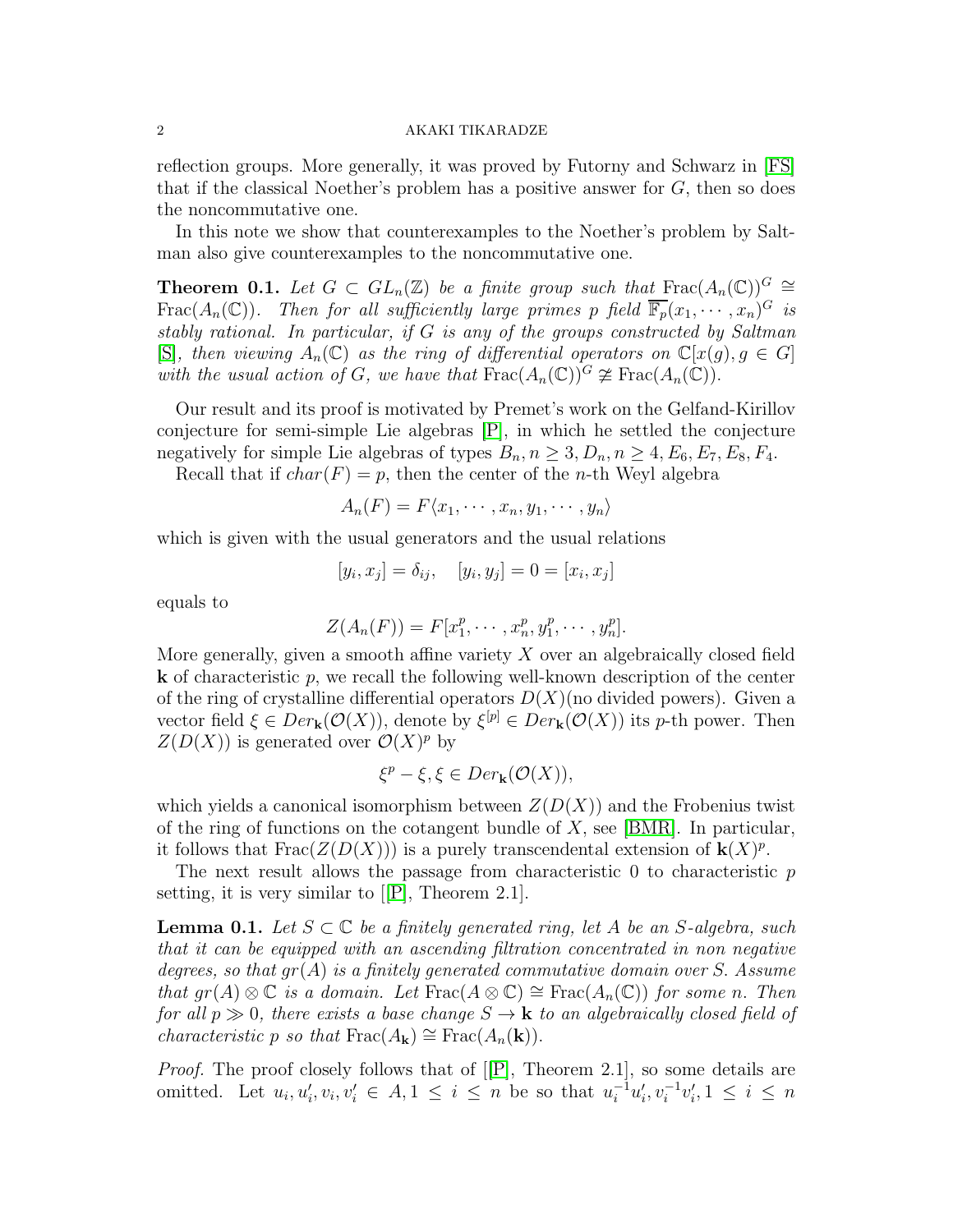## 2 AKAKI TIKARADZE

reflection groups. More generally, it was proved by Futorny and Schwarz in [\[FS\]](#page-3-2) that if the classical Noether's problem has a positive answer for  $G$ , then so does the noncommutative one.

In this note we show that counterexamples to the Noether's problem by Saltman also give counterexamples to the noncommutative one.

<span id="page-1-0"></span>**Theorem 0.1.** Let  $G \subset GL_n(\mathbb{Z})$  be a finite group such that Frac $(A_n(\mathbb{C}))^G \cong$ Frac $(A_n(\mathbb{C}))$ . Then for all sufficiently large primes p field  $\overline{\mathbb{F}_p}(x_1,\dots,x_n)^G$  is stably rational. In particular, if G is any of the groups constructed by Saltman [\[S\]](#page-3-1), then viewing  $A_n(\mathbb{C})$  as the ring of differential operators on  $\mathbb{C}[x(q), q \in G]$ with the usual action of G, we have that  $\text{Frac}(A_n(\mathbb{C}))^G \ncong \text{Frac}(A_n(\mathbb{C}))$ .

Our result and its proof is motivated by Premet's work on the Gelfand-Kirillov conjecture for semi-simple Lie algebras [\[P\]](#page-3-3), in which he settled the conjecture negatively for simple Lie algebras of types  $B_n, n \geq 3, D_n, n \geq 4, E_6, E_7, E_8, F_4$ .

Recall that if  $char(F) = p$ , then the center of the *n*-th Weyl algebra

$$
A_n(F) = F\langle x_1, \cdots, x_n, y_1, \cdots, y_n \rangle
$$

which is given with the usual generators and the usual relations

$$
[y_i, x_j] = \delta_{ij}, \quad [y_i, y_j] = 0 = [x_i, x_j]
$$

equals to

$$
Z(A_n(F)) = F[x_1^p, \cdots, x_n^p, y_1^p, \cdots, y_n^p].
$$

More generally, given a smooth affine variety  $X$  over an algebraically closed field  $k$  of characteristic p, we recall the following well-known description of the center of the ring of crystalline differential operators  $D(X)$ (no divided powers). Given a vector field  $\xi \in Der_{\mathbf{k}}(\mathcal{O}(X))$ , denote by  $\xi^{[p]} \in Der_{\mathbf{k}}(\mathcal{O}(X))$  its p-th power. Then  $Z(D(X))$  is generated over  $\mathcal{O}(X)^p$  by

$$
\xi^p - \xi, \xi \in Der_{\mathbf{k}}(\mathcal{O}(X)),
$$

which yields a canonical isomorphism between  $Z(D(X))$  and the Frobenius twist of the ring of functions on the cotangent bundle of  $X$ , see [\[BMR\]](#page-2-2). In particular, it follows that  $\text{Frac}(Z(D(X)))$  is a purely transcendental extension of  $\mathbf{k}(X)^p$ .

The next result allows the passage from characteristic  $\theta$  to characteristic  $p$ setting, it is very similar to[[\[P\]](#page-3-3), Theorem 2.1].

<span id="page-1-1"></span>**Lemma 0.1.** Let  $S \subset \mathbb{C}$  be a finitely generated ring, let A be an S-algebra, such that it can be equipped with an ascending filtration concentrated in non negative degrees, so that  $gr(A)$  is a finitely generated commutative domain over S. Assume that  $gr(A) \otimes \mathbb{C}$  is a domain. Let  $\text{Frac}(A \otimes \mathbb{C}) \cong \text{Frac}(A_n(\mathbb{C}))$  for some n. Then for all  $p \gg 0$ , there exists a base change  $S \to \mathbf{k}$  to an algebraically closed field of characteristic p so that  $\text{Frac}(A_k) \cong \text{Frac}(A_n(k)).$ 

Proof.The proof closely follows that of [[\[P\]](#page-3-3), Theorem 2.1], so some details are omitted. Let  $u_i, u'_i, v_i, v'_i \in A, 1 \leq i \leq n$  be so that  $u_i^{-1}u'_i$  $v_i^{\prime}, v_i^{-1}v_i^{\prime}$  $i, 1 \leq i \leq n$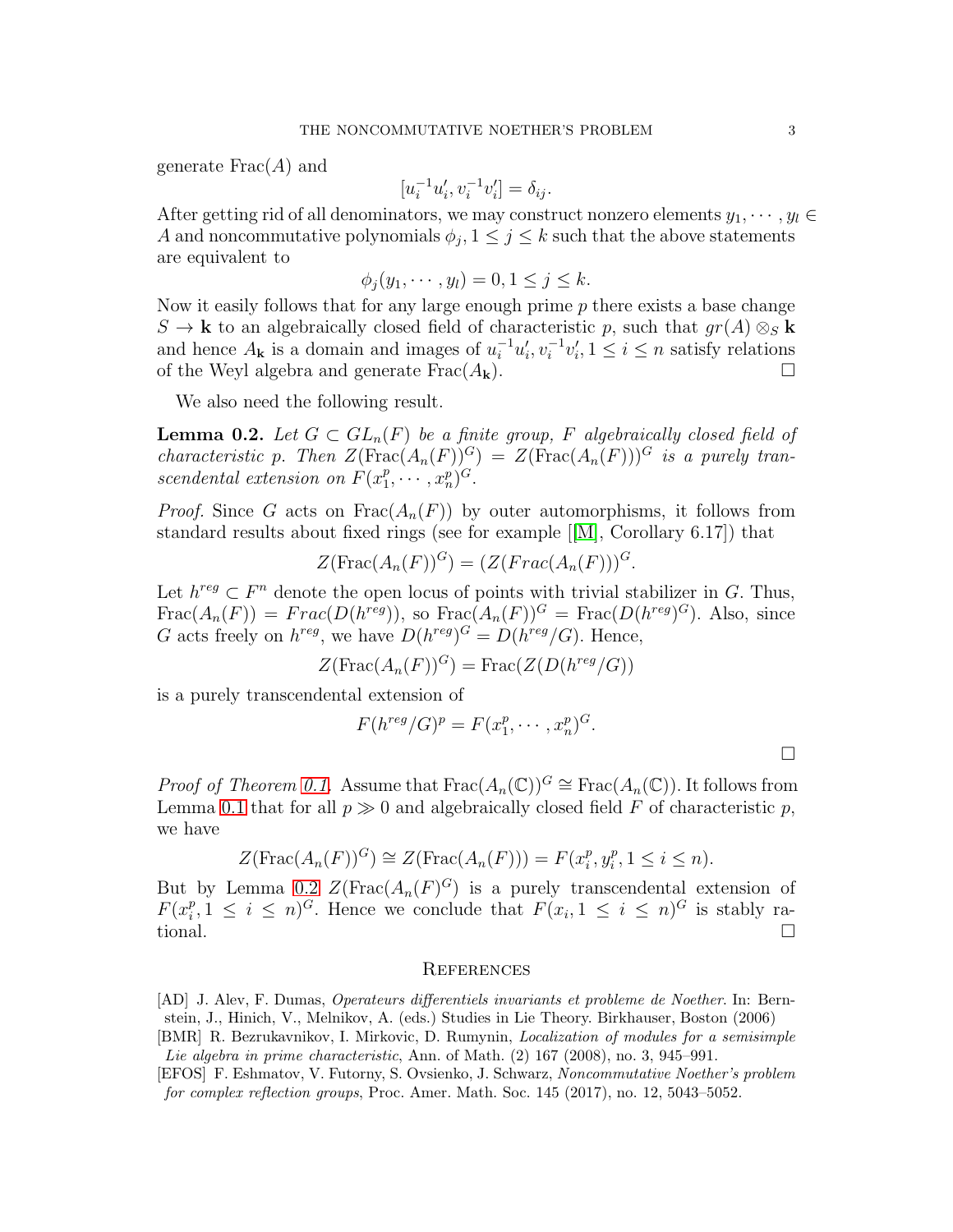generate  $Frac(A)$  and

$$
[u_i^{-1}u'_i, v_i^{-1}v'_i] = \delta_{ij}.
$$

After getting rid of all denominators, we may construct nonzero elements  $y_1, \dots, y_l \in$ A and noncommutative polynomials  $\phi_j$ ,  $1 \leq j \leq k$  such that the above statements are equivalent to

$$
\phi_j(y_1,\cdots,y_l)=0, 1\leq j\leq k.
$$

Now it easily follows that for any large enough prime  $p$  there exists a base change  $S \to \mathbf{k}$  to an algebraically closed field of characteristic p, such that  $gr(A) \otimes_S \mathbf{k}$ and hence  $A_{\mathbf{k}}$  is a domain and images of  $u_i^{-1}u_i'$  $v_i^{\prime}, v_i^{-1}v_i^{\prime}$  $i, 1 \leq i \leq n$  satisfy relations of the Weyl algebra and generate  $Frac(A_k)$ .

We also need the following result.

<span id="page-2-3"></span>**Lemma 0.2.** Let  $G \subset GL_n(F)$  be a finite group, F algebraically closed field of characteristic p. Then  $Z(\text{Frac}(A_n(F))^G) = Z(\text{Frac}(A_n(F)))$  is a purely transcendental extension on  $F(x_1^p)$  $_{1}^{p},\cdots,x_{n}^{p})^{G}.$ 

*Proof.* Since G acts on  $\text{Frac}(A_n(F))$  by outer automorphisms, it follows from standard results about fixed rings (see for example[[\[M\]](#page-3-4), Corollary 6.17]) that

$$
Z(\operatorname{Frac}(A_n(F))^G) = (Z(Frac(A_n(F)))^G.
$$

Let  $h^{reg} \subset F^n$  denote the open locus of points with trivial stabilizer in G. Thus,  $Frac(A_n(F)) = Frac(D(h^{reg}))$ , so  $Frac(A_n(F))^G = Frac(D(h^{reg})^G)$ . Also, since G acts freely on  $h^{reg}$ , we have  $D(h^{reg})^G = D(h^{reg}/G)$ . Hence,

$$
Z(\operatorname{Frac}(A_n(F))^G) = \operatorname{Frac}(Z(D(h^{reg}/G))
$$

is a purely transcendental extension of

$$
F(h^{reg}/G)^p = F(x_1^p, \dots, x_n^p)^G.
$$

*Proof of Theorem [0.1.](#page-1-0)* Assume that  $\text{Frac}(A_n(\mathbb{C}))^G \cong \text{Frac}(A_n(\mathbb{C}))$ . It follows from Lemma [0.1](#page-1-1) that for all  $p \gg 0$  and algebraically closed field F of characteristic p, we have

$$
Z(\operatorname{Frac}(A_n(F))^G) \cong Z(\operatorname{Frac}(A_n(F))) = F(x_i^p, y_i^p, 1 \le i \le n).
$$

But by Lemma [0.2](#page-2-3)  $Z(\text{Frac}(A_n(F)^G)$  is a purely transcendental extension of  $F(x_i^p)$  $i<sup>p</sup>, 1 \leq i \leq n$ <sup>G</sup>. Hence we conclude that  $F(x_i, 1 \leq i \leq n)$ <sup>G</sup> is stably rational.

## **REFERENCES**

<span id="page-2-0"></span>[AD] J. Alev, F. Dumas, Operateurs differentiels invariants et probleme de Noether. In: Bernstein, J., Hinich, V., Melnikov, A. (eds.) Studies in Lie Theory. Birkhauser, Boston (2006) [BMR] R. Bezrukavnikov, I. Mirkovic, D. Rumynin, Localization of modules for a semisimple

<span id="page-2-2"></span>Lie algebra in prime characteristic, Ann. of Math. (2) 167 (2008), no. 3, 945–991.

<span id="page-2-1"></span>[EFOS] F. Eshmatov, V. Futorny, S. Ovsienko, J. Schwarz, Noncommutative Noether's problem for complex reflection groups, Proc. Amer. Math. Soc. 145 (2017), no. 12, 5043–5052.